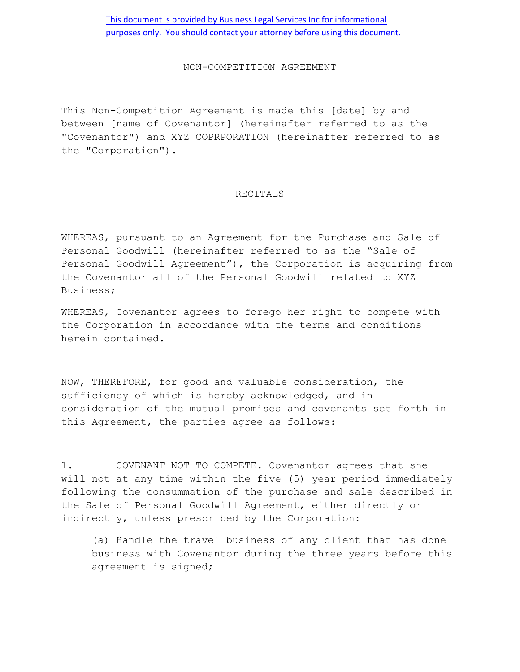## NON-COMPETITION AGREEMENT

This Non-Competition Agreement is made this [date] by and between [name of Covenantor] (hereinafter referred to as the "Covenantor") and XYZ COPRPORATION (hereinafter referred to as the "Corporation").

## RECITALS

WHEREAS, pursuant to an Agreement for the Purchase and Sale of Personal Goodwill (hereinafter referred to as the "Sale of Personal Goodwill Agreement"), the Corporation is acquiring from the Covenantor all of the Personal Goodwill related to XYZ Business;

WHEREAS, Covenantor agrees to forego her right to compete with the Corporation in accordance with the terms and conditions herein contained.

NOW, THEREFORE, for good and valuable consideration, the sufficiency of which is hereby acknowledged, and in consideration of the mutual promises and covenants set forth in this Agreement, the parties agree as follows:

1. COVENANT NOT TO COMPETE. Covenantor agrees that she will not at any time within the five (5) year period immediately following the consummation of the purchase and sale described in the Sale of Personal Goodwill Agreement, either directly or indirectly, unless prescribed by the Corporation:

(a) Handle the travel business of any client that has done business with Covenantor during the three years before this agreement is signed;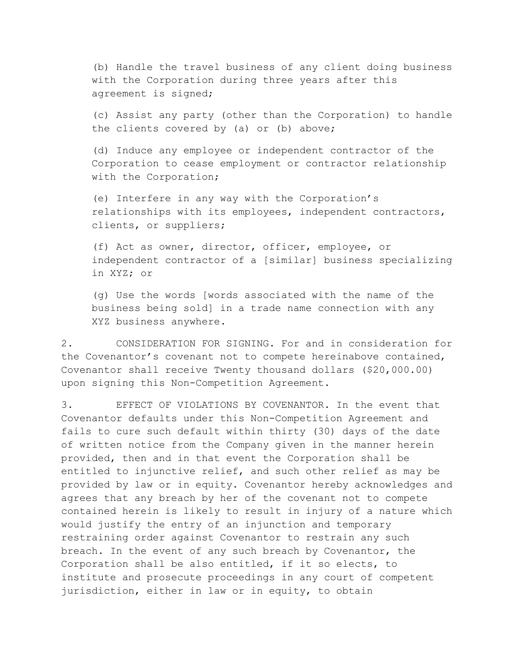(b) Handle the travel business of any client doing business with the Corporation during three years after this agreement is signed;

(c) Assist any party (other than the Corporation) to handle the clients covered by (a) or (b) above;

(d) Induce any employee or independent contractor of the Corporation to cease employment or contractor relationship with the Corporation;

(e) Interfere in any way with the Corporation's relationships with its employees, independent contractors, clients, or suppliers;

(f) Act as owner, director, officer, employee, or independent contractor of a [similar] business specializing in XYZ; or

(g) Use the words [words associated with the name of the business being sold] in a trade name connection with any XYZ business anywhere.

2. CONSIDERATION FOR SIGNING. For and in consideration for the Covenantor's covenant not to compete hereinabove contained, Covenantor shall receive Twenty thousand dollars (\$20,000.00) upon signing this Non-Competition Agreement.

3. EFFECT OF VIOLATIONS BY COVENANTOR. In the event that Covenantor defaults under this Non-Competition Agreement and fails to cure such default within thirty (30) days of the date of written notice from the Company given in the manner herein provided, then and in that event the Corporation shall be entitled to injunctive relief, and such other relief as may be provided by law or in equity. Covenantor hereby acknowledges and agrees that any breach by her of the covenant not to compete contained herein is likely to result in injury of a nature which would justify the entry of an injunction and temporary restraining order against Covenantor to restrain any such breach. In the event of any such breach by Covenantor, the Corporation shall be also entitled, if it so elects, to institute and prosecute proceedings in any court of competent jurisdiction, either in law or in equity, to obtain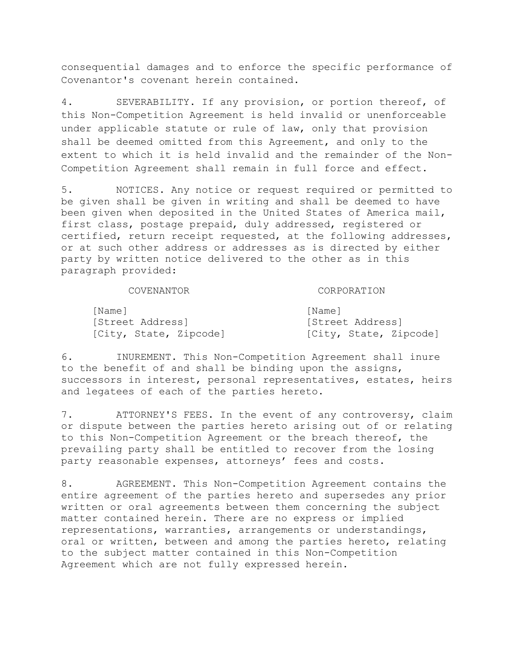consequential damages and to enforce the specific performance of Covenantor's covenant herein contained.

4. SEVERABILITY. If any provision, or portion thereof, of this Non-Competition Agreement is held invalid or unenforceable under applicable statute or rule of law, only that provision shall be deemed omitted from this Agreement, and only to the extent to which it is held invalid and the remainder of the Non-Competition Agreement shall remain in full force and effect.

5. NOTICES. Any notice or request required or permitted to be given shall be given in writing and shall be deemed to have been given when deposited in the United States of America mail, first class, postage prepaid, duly addressed, registered or certified, return receipt requested, at the following addresses, or at such other address or addresses as is directed by either party by written notice delivered to the other as in this paragraph provided:

## COVENANTOR CORPORATION

State, Zipcode]

| IName I                | INamel           |
|------------------------|------------------|
| [Street Address]       | [Street Address] |
| [City, State, Zipcode] | [City, State, Zi |

6. INUREMENT. This Non-Competition Agreement shall inure to the benefit of and shall be binding upon the assigns, successors in interest, personal representatives, estates, heirs and legatees of each of the parties hereto.

7. ATTORNEY'S FEES. In the event of any controversy, claim or dispute between the parties hereto arising out of or relating to this Non-Competition Agreement or the breach thereof, the prevailing party shall be entitled to recover from the losing party reasonable expenses, attorneys' fees and costs.

8. AGREEMENT. This Non-Competition Agreement contains the entire agreement of the parties hereto and supersedes any prior written or oral agreements between them concerning the subject matter contained herein. There are no express or implied representations, warranties, arrangements or understandings, oral or written, between and among the parties hereto, relating to the subject matter contained in this Non-Competition Agreement which are not fully expressed herein.